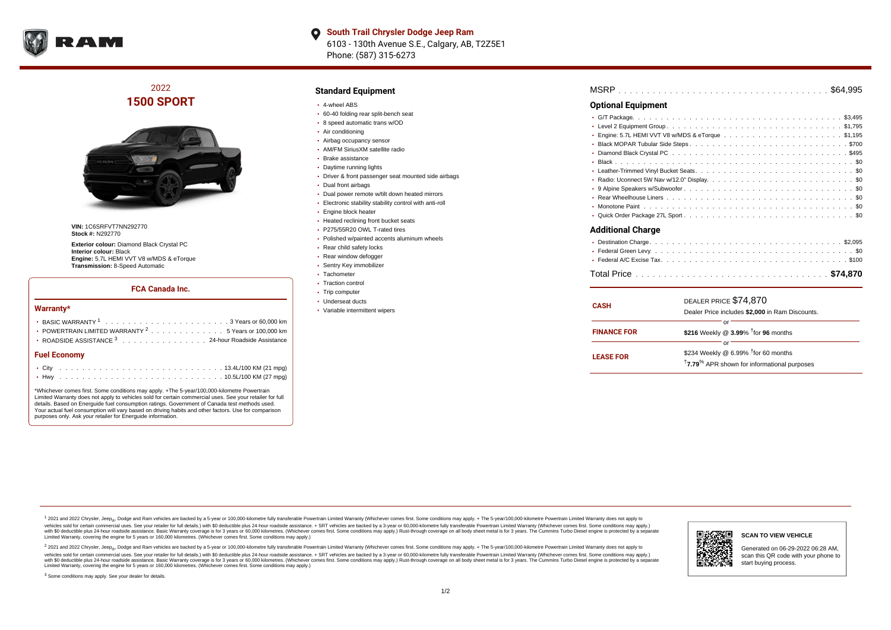

**South Trail Chrysler Dodge Jeep Ram**  $\bullet$ 6103 - 130th Avenue S.E., Calgary, AB, T2Z5E1 Phone: (587) 315-6273

# 2022 **1500 SPORT**



**VIN:** 1C6SRFVT7NN292770 **Stock #:** N292770

**Exterior colour:** Diamond Black Crystal PC **Interior colour:** Black **Engine:** 5.7L HEMI VVT V8 w/MDS & eTorque **Transmission:** 8-Speed Automatic

#### **FCA Canada Inc.**

#### **Warranty\***

| <b>Fuel Economy</b>                                                                      |  |  |  |  |  |
|------------------------------------------------------------------------------------------|--|--|--|--|--|
| ROADSIDE ASSISTANCE 3 24-hour Roadside Assistance                                        |  |  |  |  |  |
| • POWERTRAIN LIMITED WARRANTY $2, \ldots, \ldots, \ldots, \ldots, 5$ Years or 100,000 km |  |  |  |  |  |
|                                                                                          |  |  |  |  |  |
|                                                                                          |  |  |  |  |  |

\*Whichever comes first. Some conditions may apply. +The 5-year/100,000-kilometre Powertrain Limited Warranty does not apply to vehicles sold for certain commercial uses. See your retailer for full details. Based on Energuide fuel consumption ratings. Government of Canada test methods used. Your actual fuel consumption will vary based on driving habits and other factors. Use for comparison purposes only. Ask your retailer for Energuide information.

#### **Standard Equipment**

- 4-wheel ABS
- 60-40 folding rear split-bench seat
- 8 speed automatic trans w/OD
- Air conditioning
- Airbag occupancy sensor AM/FM SiriusXM satellite radio
- Brake assistance
- 
- Daytime running lights
- Driver & front passenger seat mounted side airbags
- Dual front airbags
- Dual power remote w/tilt down heated mirrors
- Electronic stability stability control with anti-roll
- Engine block heater
- Heated reclining front bucket seats
- P275/55R20 OWL T-rated tires
- Polished w/painted accents aluminum wheels
- Rear child safety locks
- Rear window defogger
- Sentry Key immobilizer
- Tachometer
- Traction control
- Trip computer
- Underseat ducts
- Variable intermittent wipers

| <b>MSRP</b> |  |  |  |  |  |  |  |  |  |  |  |  |  |  |  |  |  |  |  |  |  |  |  |  |  |  |  |  |  |  |  |  |  |  |  |  |  |  |  |  |
|-------------|--|--|--|--|--|--|--|--|--|--|--|--|--|--|--|--|--|--|--|--|--|--|--|--|--|--|--|--|--|--|--|--|--|--|--|--|--|--|--|--|
|-------------|--|--|--|--|--|--|--|--|--|--|--|--|--|--|--|--|--|--|--|--|--|--|--|--|--|--|--|--|--|--|--|--|--|--|--|--|--|--|--|--|

### **Optional Equipment**

| • Radio: Uconnect 5W Nav w/12.0" Display\$0 |  |
|---------------------------------------------|--|
|                                             |  |
|                                             |  |
|                                             |  |
|                                             |  |
| <b>Additional Charge</b>                    |  |
|                                             |  |

| <b>CASH</b>        | DEALER PRICE \$74,870<br>Dealer Price includes \$2,000 in Ram Discounts.                                                     |  |  |  |  |  |  |  |  |  |
|--------------------|------------------------------------------------------------------------------------------------------------------------------|--|--|--|--|--|--|--|--|--|
| <b>FINANCE FOR</b> | Ωľ<br>\$216 Weekly @ $3.99\%$ <sup>†</sup> for 96 months                                                                     |  |  |  |  |  |  |  |  |  |
| <b>LEASE FOR</b>   | Ωľ<br>\$234 Weekly @ 6.99% <sup>1</sup> for 60 months<br><sup>†</sup> 7.79 <sup>%</sup> APR shown for informational purposes |  |  |  |  |  |  |  |  |  |

<sup>1</sup> 2021 and 2022 Chrysler, Jeep<sub>®</sub>, Dodge and Ram vehicles are backed by a 5-year or 100,000-kilometre fully transferable Powertrain Limited Warranty (Whichever comes first. Some conditions may apply. + The 5-year/100,000 vehicles sold for certain commercial uses. See your retailer for full details.) with \$0 deductible plus 24-hour roadside assistance. + SRT vehicles are backed by a 3-year or 60,000-kilometre fully transferable Powertrain L versus and contract the mean of the contract of the contract with a contract with a contract the contract of the contract of the contract the contract of the contract of the contract of the contract of the contract of the Limited Warranty, covering the engine for 5 years or 160,000 kilometres. (Whichever comes first. Some conditions may apply.)

2 2021 and 2022 Chrysler, Jeep<sub>®</sub>, Dodge and Ram vehicles are backed by a 5-year or 100,000-kilometre fully transferable Powertrain Limited Warranty (Whichever comes first. Some conditions may apply. + The 5-year/100,000-k vehicles sold for certain commercial uses. See your retailer for full details.) with SO deductible plus 24-hour roadside assistance. + SRT vehicles are backed by a 3-year or 60.000-kilometre fully transferable Powertrain. with S0 deductible plus 24-hour roadside assistance. Basic Warranty coverage is for 3 years or 60,000 kilometres. (Whichever comes first. Some conditions may apply.) Rust-through coverage on all body sheet metal is for 3 y

<sup>3</sup> Some conditions may apply. See your dealer for details.



Generated on 06-29-2022 06:28 AM, scan this QR code with your phone to start buying process.